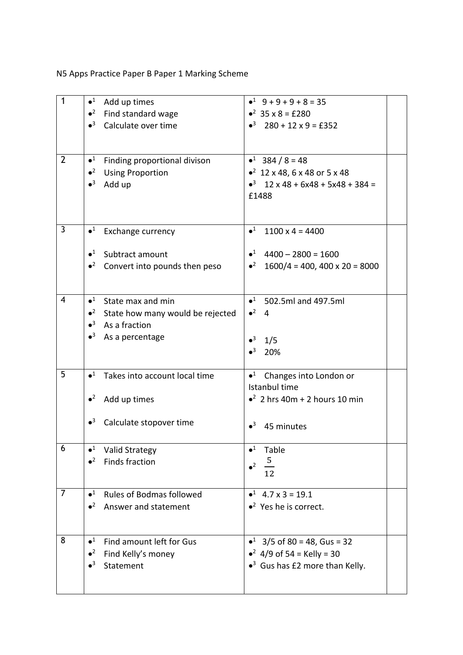N5 Apps Practice Paper B Paper 1 Marking Scheme

| $\mathbf{1}$   | $\bullet^1$<br>Add up times                                                  | $-1$ 9 + 9 + 9 + 8 = 35                           |
|----------------|------------------------------------------------------------------------------|---------------------------------------------------|
|                | $\bullet^2$<br>Find standard wage                                            | $^2$ 35 x 8 = £280                                |
|                | $\bullet^3$<br>Calculate over time                                           | $\bullet^3$ 280 + 12 x 9 = £352                   |
|                |                                                                              |                                                   |
|                |                                                                              |                                                   |
| $\overline{2}$ | $\bullet^1$<br>Finding proportional divison                                  | $•1$ 384 / 8 = 48                                 |
|                | $\bullet^2$<br><b>Using Proportion</b>                                       | $\bullet^2$ 12 x 48, 6 x 48 or 5 x 48             |
|                | $\bullet^3$<br>Add up                                                        | $\bullet^3$ 12 x 48 + 6x48 + 5x48 + 384 =         |
|                |                                                                              | £1488                                             |
|                |                                                                              |                                                   |
|                |                                                                              |                                                   |
| 3              | $\bullet^1$<br><b>Exchange currency</b>                                      | $\bullet^1$<br>$1100 \times 4 = 4400$             |
|                |                                                                              |                                                   |
|                | $\bullet$ <sup>1</sup> Subtract amount                                       | $\bullet^1$ 4400 - 2800 = 1600                    |
|                | $\cdot^2$ Convert into pounds then peso                                      | • $2 \cdot 1600/4 = 400$ , $400 \times 20 = 8000$ |
|                |                                                                              |                                                   |
| 4              | $\bullet^1$                                                                  |                                                   |
|                | State max and min                                                            | $•1$ 502.5ml and 497.5ml<br>$\bullet^2$ 4         |
|                | $\bullet^2$ State how many would be rejected<br>$\bullet^3$<br>As a fraction |                                                   |
|                | $\bullet^3$<br>As a percentage                                               |                                                   |
|                |                                                                              | $•3$ 1/5                                          |
|                |                                                                              | $\bullet^3$<br>20%                                |
| 5              | $\bullet^1$<br>Takes into account local time                                 | $\bullet$ <sup>1</sup> Changes into London or     |
|                |                                                                              | Istanbul time                                     |
|                | $\bullet^2$<br>Add up times                                                  | $\bullet^2$ 2 hrs 40m + 2 hours 10 min            |
|                |                                                                              |                                                   |
|                | $\bullet^3$<br>Calculate stopover time                                       | $\bullet^3$                                       |
|                |                                                                              | 45 minutes                                        |
| 6              | $\bullet^1$<br><b>Valid Strategy</b>                                         | $\bullet^1$<br>Table                              |
|                | $\bullet^2$<br><b>Finds fraction</b>                                         | $\frac{5}{1}$                                     |
|                |                                                                              | $\bullet^2$<br>12                                 |
|                |                                                                              |                                                   |
| $\overline{7}$ | $\bullet^1$<br><b>Rules of Bodmas followed</b>                               | $\bullet^1$ 4.7 x 3 = 19.1                        |
|                | $\bullet^2$<br>Answer and statement                                          | $\bullet^2$ Yes he is correct.                    |
|                |                                                                              |                                                   |
| 8              | $\bullet^1$                                                                  |                                                   |
|                | Find amount left for Gus<br>$\bullet^2$                                      | • $3/5$ of 80 = 48, Gus = 32                      |
|                | Find Kelly's money<br>$\bullet^3$<br>Statement                               | • $2$ 4/9 of 54 = Kelly = 30                      |
|                |                                                                              | $\bullet^3$ Gus has £2 more than Kelly.           |
|                |                                                                              |                                                   |